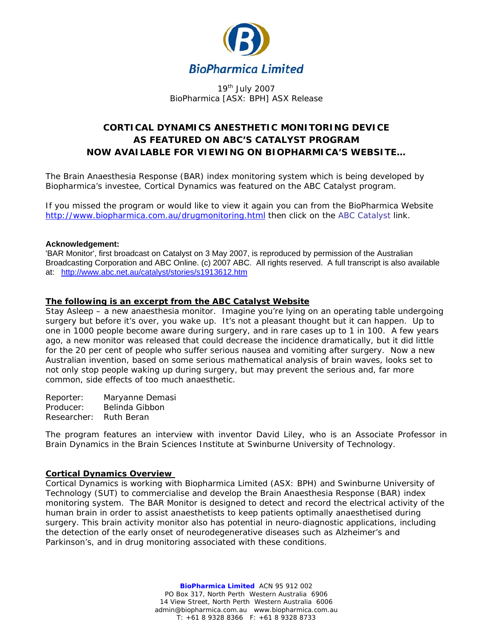

19<sup>th</sup> July 2007 BioPharmica [ASX: BPH] ASX Release

# **CORTICAL DYNAMICS ANESTHETIC MONITORING DEVICE AS FEATURED ON ABC'S CATALYST PROGRAM NOW AVAILABLE FOR VIEWING ON BIOPHARMICA'S WEBSITE…**

The Brain Anaesthesia Response (BAR) index monitoring system which is being developed by Biopharmica's investee, Cortical Dynamics was featured on the ABC Catalyst program.

If you missed the program or would like to view it again you can from the BioPharmica Website <http://www.biopharmica.com.au/drugmonitoring.html>then click on the ABC Catalyst link.

#### **Acknowledgement:**

'BAR Monitor', first broadcast on Catalyst on 3 May 2007, is reproduced by permission of the Australian Broadcasting Corporation and ABC Online. (c) 2007 ABC. All rights reserved. A full transcript is also available at:<http://www.abc.net.au/catalyst/stories/s1913612.htm>

## **The following is an excerpt from the ABC Catalyst Website**

Stay Asleep – a new anaesthesia monitor. Imagine you're lying on an operating table undergoing surgery but before it's over, you wake up. It's not a pleasant thought but it can happen. Up to one in 1000 people become aware during surgery, and in rare cases up to 1 in 100. A few years ago, a new monitor was released that could decrease the incidence dramatically, but it did little for the 20 per cent of people who suffer serious nausea and vomiting after surgery. Now a new Australian invention, based on some serious mathematical analysis of brain waves, looks set to not only stop people waking up during surgery, but may prevent the serious and, far more common, side effects of too much anaesthetic.

Reporter: Maryanne Demasi Producer: Belinda Gibbon Researcher: Ruth Beran

The program features an interview with inventor David Liley, who is an Associate Professor in Brain Dynamics in the Brain Sciences Institute at Swinburne University of Technology.

#### **Cortical Dynamics Overview**

Cortical Dynamics is working with Biopharmica Limited (ASX: BPH) and Swinburne University of Technology (SUT) to commercialise and develop the Brain Anaesthesia Response (BAR) index monitoring system. The BAR Monitor is designed to detect and record the electrical activity of the human brain in order to assist anaesthetists to keep patients optimally anaesthetised during surgery. This brain activity monitor also has potential in neuro-diagnostic applications, including the detection of the early onset of neurodegenerative diseases such as Alzheimer's and Parkinson's, and in drug monitoring associated with these conditions.

> **BioPharmica Limited** ACN 95 912 002 PO Box 317, North Perth Western Australia 6906 14 View Street, North Perth Western Australia 6006 admin@biopharmica.com.au www.biopharmica.com.au T: +61 8 9328 8366 F: +61 8 9328 8733